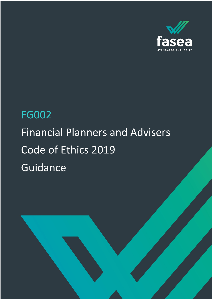

# FG002 Financial Planners and Advisers Code of Ethics 2019 Guidance

FG002 Financial Planners & Advisers Code of Ethics Guidance 1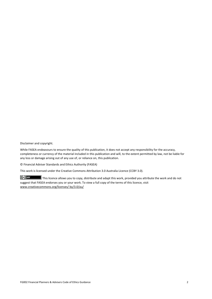Disclaimer and copyright.

While FASEA endeavours to ensure the quality of this publication, it does not accept any responsibility for the accuracy, completeness or currency of the material included in this publication and will, to the extent permitted by law, not be liable for any loss or damage arising out of any use of, or reliance on, this publication.

© Financial Adviser Standards and Ethics Authority (FASEA)

This work is licensed under the Creative Commons Attribution 3.0 Australia Licence (CCBY 3.0).

This licence allows you to copy, distribute and adapt this work, provided you attribute the work and do not suggest that FASEA endorses you or your work. To view a full copy of the terms of this licence, visit www.creativecommons.org/licenses/ by/3.0/au/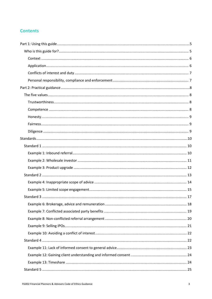# **Contents**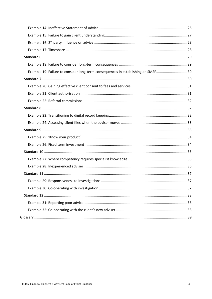| Example 19: Failure to consider long-term consequences in establishing an SMSF 30 |  |
|-----------------------------------------------------------------------------------|--|
|                                                                                   |  |
|                                                                                   |  |
|                                                                                   |  |
|                                                                                   |  |
|                                                                                   |  |
|                                                                                   |  |
|                                                                                   |  |
|                                                                                   |  |
|                                                                                   |  |
|                                                                                   |  |
|                                                                                   |  |
|                                                                                   |  |
|                                                                                   |  |
|                                                                                   |  |
|                                                                                   |  |
|                                                                                   |  |
|                                                                                   |  |
|                                                                                   |  |
|                                                                                   |  |
|                                                                                   |  |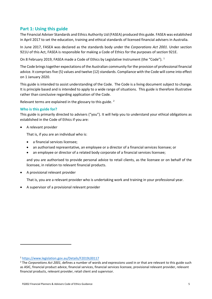# <span id="page-4-0"></span>**Part 1: Using this guide**

The Financial Adviser Standards and Ethics Authority Ltd (FASEA) produced this guide. FASEA was established in April 2017 to set the education, training and ethical standards of licensed financial advisers in Australia.

In June 2017, FASEA was declared as the standards body under the *Corporations Act 2001*. Under section 921U of this Act, FASEA is responsible for making a Code of Ethics for the purposes of section 921E.

On 8 February 20[1](#page-4-2)9, FASEA made a Code of Ethics by Legislative Instrument (the "Code"). <sup>1</sup>

The Code brings together expectations of the Australian community for the provision of professional financial advice. It comprises five (5) values and twelve (12) standards. Compliance with the Code will come into effect on 1 January 2020.

This guide is intended to assist understanding of the Code. The Code is a living document subject to change. It is principle based and is intended to apply to a wide range of situations. This guide is therefore illustrative rather than conclusive regarding application of the Code.

Relevant terms are explained in the glossary to this guide. [2](#page-4-3)

# <span id="page-4-1"></span>**Who is this guide for?**

This guide is primarily directed to advisers ("you"). It will help you to understand your ethical obligations as established in the Code of Ethics if you are:

• A relevant provider

That is, if you are an individual who is:

- a financial services licensee;
- an authorised representative, an employee or a director of a financial services licensee; or
- an employee or director of a related body corporate of a financial services licensee;

and you are authorised to provide personal advice to retail clients, as the licensee or on behalf of the licensee, in relation to relevant financial products.

• A provisional relevant provider

That is, you are a relevant provider who is undertaking work and training in your professional year.

• A supervisor of a provisional relevant provider

<span id="page-4-2"></span><sup>1</sup> <https://www.legislation.gov.au/Details/F2019L00117>

<span id="page-4-3"></span><sup>2</sup> The *Corporations Act 2001*, defines a number of words and expressions used in or that are relevant to this guide such as ASIC, financial product advice, financial services, financial services licensee, provisional relevant provider, relevant financial products, relevant provider, retail client and supervisor.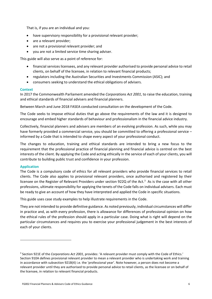That is, if you are an individual and you:

- have supervisory responsibility for a provisional relevant provider;
- are a relevant provider;
- are not a provisional relevant provider; and
- you are not a limited service time sharing adviser.

This guide will also serve as a point of reference for:

- financial services licensees, and any relevant provider authorised to provide personal advice to retail clients, on behalf of the licensee, in relation to relevant financial products;
- regulators including the Australian Securities and Investments Commission (ASIC); and
- consumers seeking to understand the ethical obligations of advisers.

# <span id="page-5-0"></span>**Context**

In 2017 the Commonwealth Parliament amended the *Corporations Act 2001*, to raise the education, training and ethical standards of financial advisers and financial planners.

Between March and June 2018 FASEA conducted consultation on the development of the Code.

The Code seeks to impose ethical duties that go above the requirements of the law and it is designed to encourage and embed higher standards of behaviour and professionalism in the financial advice industry.

Collectively, financial planners and advisers are members of an evolving profession. As such, while you may have formerly provided a commercial service, you should be committed to offering a professional service – informed by a Code that is intended to shape every aspect of your professional conduct.

The changes to education, training and ethical standards are intended to bring a new focus to the requirement that the professional practice of financial planning and financial advice is centred on the best interests of the client. By applying the Code and acting ethically in the service of each of your clients, you will contribute to building public trust and confidence in your profession.

# <span id="page-5-1"></span>**Application**

The Code is a compulsory code of ethics for all relevant providers who provide financial services to retail clients. The Code also applies to provisional relevant providers, once authorised and registered by their licensee on the Register of Relevant Providers under section 922Q of the Act. [3](#page-5-2) As is the case with all other professions, ultimate responsibility for applying the tenets of the Code falls on individual advisers. Each must be ready to give an account of how they have interpreted and applied the Code in specific situations.

This guide uses case study examples to help illustrate requirements in the Code.

They are not intended to provide definitive guidance. As noted previously, individual circumstances will differ in practice and, as with every profession, there is allowance for differences of professional opinion on how the ethical rules of the profession should apply in a particular case. Doing what is right will depend on the particular circumstances and requires you to exercise your professional judgement in the best interests of each of your clients.

<span id="page-5-2"></span><sup>3</sup> Section 921E of the *Corporations Act 2001*, provides: 'A relevant provider must comply with the Code of Ethics.' Section 910A defines provisional relevant provider to mean a relevant provider who is undertaking work and training in accordance with subsection 921B(4) i.e. the 'professional year'. Note however, a person does not become a relevant provider until they are authorised to provide personal advice to retail clients, as the licensee or on behalf of the licensee, in relation to relevant financial products.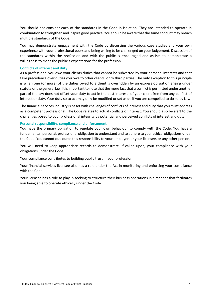You should not consider each of the standards in the Code in isolation. They are intended to operate in combination to strengthen and inspire good practice. You should be aware that the same conduct may breach multiple standards of the Code.

You may demonstrate engagement with the Code by discussing the various case studies and your own experience with your professional peers and being willing to be challenged on your judgement. Discussion of the standards within the profession and with the public is encouraged and assists to demonstrate a willingness to meet the public's expectations for the profession.

# <span id="page-6-0"></span>**Conflicts of interest and duty**

As a professional you owe your clients duties that cannot be subverted by your personal interests and that take precedence over duties you owe to other clients, or to third parties. The only exception to this principle is when one (or more) of the duties owed to a client is overridden by an express obligation arising under statute or the general law. It is important to note that the mere fact that a conflict is permitted under another part of the law does not offset your duty to act in the best interests of your client free from any conflict of interest or duty. Your duty so to act may only be modified or set aside if you are compelled to do so by Law.

The financial services industry is beset with challenges of conflicts of interest and duty that you must address as a competent professional. The Code relates to actual conflicts of interest. You should also be alert to the challenges posed to your professional integrity by potential and perceived conflicts of interest and duty.

#### <span id="page-6-1"></span>**Personal responsibility, compliance and enforcement**

You have the primary obligation to regulate your own behaviour to comply with the Code. You have a fundamental, personal, professional obligation to understand and to adhere to your ethical obligations under the Code. You cannot outsource this responsibility to your employer, or your licensee, or any other person.

You will need to keep appropriate records to demonstrate, if called upon, your compliance with your obligations under the Code.

Your compliance contributes to building public trust in your profession.

Your financial services licensee also has a role under the Act in monitoring and enforcing your compliance with the Code.

Your licensee has a role to play in seeking to structure their business operations in a manner that facilitates you being able to operate ethically under the Code.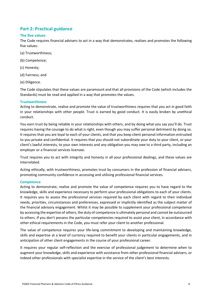# <span id="page-7-0"></span>**Part 2: Practical guidance**

# <span id="page-7-1"></span>**The five values**

The Code requires financial advisers to act in a way that demonstrates, realises and promotes the following five values:

- (a) Trustworthiness;
- (b) Competence;
- (c) Honesty;
- (d) Fairness; and
- (e) Diligence.

The Code stipulates that these values are paramount and that all provisions of the Code (which includes the Standards) must be read and applied in a way that promotes the values.

# <span id="page-7-2"></span>**Trustworthiness**

Acting to demonstrate, realise and promote the value of trustworthiness requires that you act in good faith in your relationships with other people. Trust is earned by good conduct. It is easily broken by unethical conduct.

You earn trust by being reliable in your relationships with others, and by doing what you say you'll do. Trust requires having the courage to do what is right, even though you may suffer personal detriment by doing so. It requires that you are loyal to each of your clients, and that you keep client personal information entrusted to you private and confidential. It requires that you should not subordinate your duty to your client, or your client's lawful interests, to your own interests and any obligation you may owe to a third party, including an employer or a financial services licensee.

Trust requires you to act with integrity and honesty in all your professional dealings, and these values are interrelated.

Acting ethically, with trustworthiness, promotes trust by consumers in the profession of financial advisers, promoting community confidence in accessing and utilising professional financial services.

# <span id="page-7-3"></span>**Competence**

Acting to demonstrate, realise and promote the value of competence requires you to have regard to the knowledge, skills and experience necessary to perform your professional obligations to each of your clients. It requires you to assess the professional services required by each client with regard to their individual needs, priorities, circumstances and preferences, expressed or implicitly identified as the subject matter of the financial advisory engagement. Whilst it may be possible to supplement your professional competence by accessing the expertise of others, the duty of competence is ultimately personal and cannot be outsourced to others. If you don't possess the particular competencies required to assist your client, in accordance with other ethical requirements in the Code, you must refer your client to another professional.

The value of competence requires your life-long commitment to developing and maintaining knowledge, skills and expertise at a level of currency required to benefit your clients in particular engagements, and in anticipation of other client engagements in the course of your professional career.

It requires your regular self-reflection and the exercise of professional judgement to determine when to augment your knowledge, skills and experience with assistance from other professional financial advisers, or indeed other professionals with specialist expertise in the service of the client's best interests.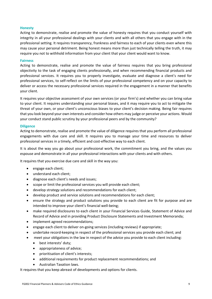## <span id="page-8-0"></span>**Honesty**

Acting to demonstrate, realise and promote the value of honesty requires that you conduct yourself with integrity in all your professional dealings with your clients and with all others that you engage with in the professional setting. It requires transparency, frankness and fairness to each of your clients even where this may cause your personal detriment. Being honest means more than just technically telling the truth, it may require you not to withhold information from your client that your client would want to know.

#### <span id="page-8-1"></span>**Fairness**

Acting to demonstrate, realise and promote the value of fairness requires that you bring professional objectivity to the task of engaging clients professionally, and when recommending financial products and professional services. It requires you to properly investigate, evaluate and diagnose a client's need for professional services, to self-reflect on the limits of your professional competency and on your capacity to deliver or access the necessary professional services required in the engagement in a manner that benefits your client.

It requires your objective assessment of your own services (or your firm's) and whether you can bring value to your client. It requires understanding your personal biases, and it may require you to act to mitigate the threat of your own, or your client's unconscious biases to your client's decision making. Being fair requires that you look beyond your own interests and consider how others may judge or perceive your actions. Would your conduct stand public scrutiny by your professional peers and by the community?

#### <span id="page-8-2"></span>**Diligence**

Acting to demonstrate, realise and promote the value of diligence requires that you perform all professional engagements with due care and skill. It requires you to manage your time and resources to deliver professional services in a timely, efficient and cost-effective way to each client.

It is about the way you go about your professional work, the commitment you bring, and the values you espouse and demonstrate in all your professional interactions with your clients and with others.

It requires that you exercise due care and skill in the way you:

- engage each client;
- understand each client;
- diagnose each client's needs and issues;
- scope or limit the professional services you will provide each client;
- develop strategy solutions and recommendations for each client;
- develop product and service solutions and recommendations for each client;
- ensure the strategy and product solutions you provide to each client are fit for purpose and are intended to improve your client's financial well-being;
- make required disclosures to each client in your Financial Services Guide, Statement of Advice and Record of Advice and in providing Product Disclosure Statements and Investment Memoranda;
- implement agreed recommendations;
- engage each client to deliver on-going services (including reviews) if appropriate;
- undertake record-keeping in respect of the professional services you provide each client; and
- meet your obligations in the law in respect of the advice you provide to each client including:
	- best interests' duty;
	- appropriateness of advice;
	- prioritisation of client's interests;
	- additional requirements for product replacement recommendations; and
	- Australian Taxation laws.

It requires that you keep abreast of developments and options for clients.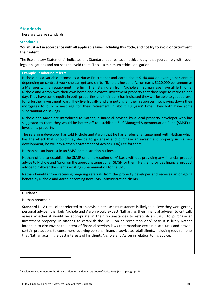# <span id="page-9-0"></span>**Standards**

There are twelve standards.

# <span id="page-9-1"></span>**Standard 1**

**You must act in accordance with all applicable laws, including this Code, and not try to avoid or circumvent their intent.**

The Explanatory Statement<sup>[4](#page-9-3)</sup> indicates this Standard requires, as an ethical duty, that you comply with your legal obligations and not seek to avoid them. This is a minimum ethical obligation.

# <span id="page-9-2"></span>**Example 1: Inbound referral**

Nichole has a variable income as a Nurse Practitioner and earns about \$140,000 on average per annum depending on contract work she can get and shifts. Nichole's husband Aaron earns \$120,000 per annum as a Manager with an equipment hire firm. Their 3 children from Nichole's first marriage have all left home. Nichole and Aaron own their own home and a coastal investment property that they hope to retire to one day. They have some equity in both properties and their bank has indicated they will be able to get approval for a further investment loan. They live frugally and are putting all their resources into paying down their mortgages to build a nest egg for their retirement in about 10 years' time. They both have some superannuation savings.

Nichole and Aaron are introduced to Nathan, a financial adviser, by a local property developer who has suggested to them they would be better off to establish a Self-Managed Superannuation Fund (SMSF) to invest in a property.

The referring developer has told Nichole and Aaron that he has a referral arrangement with Nathan which has the effect that, should they decide to go ahead and purchase an investment property in his new development, he will pay Nathan's Statement of Advice (SOA) Fee for them.

Nathan has an interest in an SMSF administration business.

Nathan offers to establish the SMSF on an 'execution only' basis without providing any financial product advice to Nichole and Aaron on the appropriateness of an SMSF for them. He then provides financial product advice to rollover the client's existing superannuation to the SMSF.

Nathan benefits from receiving on-going referrals from the property developer and receives an on-going benefit by Nichole and Aaron becoming new SMSF administration clients.

# **Guidance**

Nathan breaches:

**Standard 1** – A retail client referred to an adviser in these circumstances is likely to believe they were getting personal advice. It is likely Nichole and Aaron would expect Nathan, as their financial adviser, to critically assess whether it would be appropriate in their circumstances to establish an SMSF to purchase an investment property. In offering to establish the SMSF on an 'execution only' basis it is likely Nathan intended to circumvent the intent of financial services laws that mandate certain disclosures and provide certain protections to consumers receiving personal financial advice as retail clients, including requirements that Nathan acts in the best interests of his clients Nichole and Aaron in relation to his advice.

<span id="page-9-3"></span><sup>4</sup> Explanatory Statement to the Financial Planners and Advisers Code of Ethics 2019 (ES) at paragraph 25.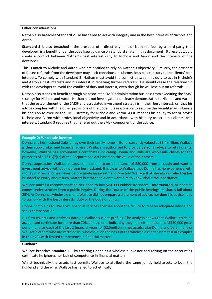#### **Other considerations**

Nathan also breaches **Standard 2**. He has failed to act with integrity and in the best interests of Nichole and Aaron.

**Standard 3 is also breached** – the prospect of a direct payment of Nathan's fees by a third-party (the developer) is a benefit under the code [see guidance on Standard 3 later in this document]. Its receipt would create a conflict between Nathan's best interest duty to Nichole and Aaron and the interests of the developer.

This is unfair to Nichole and Aaron who are entitled to rely on Nathan's objectivity. Similarly, the prospect of future referrals from the developer may elicit conscious or subconscious bias contrary to the clients' best interests. To comply with Standard 3, Nathan must avoid the conflict between his duty to act in Nichole's and Aaron's best interests and his interest in receiving further referrals. He should cease the relationship with the developer to avoid the conflict of duty and interest, even though he will lose out on referrals.

Nathan also stands to benefit through his associated SMSF administration business from executing the SMSF strategy for Nichole and Aaron. Nathan has not investigated nor clearly demonstrated to Nichole and Aaron, that the establishment of the SMSF and associated investment strategy is in their best interest, or, that his advice complies with the other provisions of the Code. It is reasonable to assume the benefit may influence his decision to execute the SMSF strategy for Nichole and Aaron. As it impedes his ability to act or advise Nichole and Aaron with professional objectivity and in accordance with his duty to act in his clients' best interests, Standard 3 requires that he refer out the SMSF component of the advice.

#### <span id="page-10-0"></span>**Example 2: Wholesale investor**

Donna and her husband Dale jointly own their family home in Bondi currently valued at \$3.4 million. Wallace is their stockbroker and financial adviser. Wallace is authorised to provide personal advice to retail clients; however, Wallace has accountant's certificates indicating Donna and Dale are wholesale clients for the purposes of s.761G(7)(c) of the Corporations Act based on the value of their assets.

Donna approaches Wallace because she came into an inheritance of \$20,000 from a cousin and wanted investment advice without involving her husband. It is clear to Wallace that Donna has no experience with money matters and has never before made an investment. She told Wallace that she always relied on her husband to worry about such matters but that she didn't want him to know about the inheritance.

Wallace makes a recommendation to Donna to buy \$20,000 VubberLife shares. Unfortunately, VubberLife comes under scrutiny from a public inquiry. During the course of the public hearings its shares fall about 25%. As Donna is a wholesale client, Wallace did not prepare a statement of advice, nor does his advice need to comply with the best interests' duty or the Code of Ethics.

Donna complains to Wallace's financial services licensee about the failure to receive adequate advice and seeks compensation.

His firm collects and analyses data on Wallace's client profiles. The analysis shows that Wallace holds an accountant certificate for more than 70% of his clients indicating they hold either income of \$250,000 gross per annum for each of the last 2 financial years, or \$2.5million in net assets. Like Donna and Dale, many of Wallace's clients who are certified as 'wholesale' on the basis of the wholesale client assets test are couples in their 70s with limited competence in financial matters.

#### **Guidance**

Wallace breaches **Standard 1** – by treating Donna as a wholesale investor and relying on the accounting certificate he ignores her lack of competence in financial matters.

Whilst technically the assets test permits Wallace to attribute the same jointly held assets to both the husband and the wife, Wallace has failed to act ethically.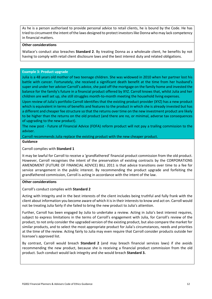As he is a person authorised to provide personal advice to retail clients, he is bound by the Code. He has tried to circumvent the intent of the laws designed to protect investors like Donna who may lack competency in financial matters.

#### **Other considerations**

Wallace's conduct also breaches **Standard 2**. By treating Donna as a wholesale client, he benefits by not having to comply with retail client disclosure laws and the best interest duty and related obligations.

# <span id="page-11-0"></span>**Example 3: Product upgrade**

Julia is a 48 years old mother of two teenage children. She was widowed in 2010 when her partner lost his battle with cancer. Fortunately, she received a significant death benefit at the time from her husband's super and under her adviser Carroll's advice, she paid off the mortgage on the family home and invested the balance for the family's future in a financial product offered by XYZ. Carroll knows that, whilst Julia and her children are well set up, she still struggles month-to-month meeting the household living expenses.

Upon review of Julia's portfolio Carroll identifies that the existing product provider (XYZ) has a new product which is equivalent in terms of benefits and features to the product in which she is already invested but has a different and cheaper fee structure so that the returns over time on the new investment product are likely to be higher than the returns on the old product (and there are no, or minimal, adverse tax consequences of upgrading to the new product).

The new post - Future of Financial Advice (FOFA) reform product will not pay a trailing commission to the adviser.

Carroll recommends Julia replace the existing product with the new cheaper product.

**Guidance**

# Carroll complies with **Standard 1**

It may be lawful for Carroll to receive a 'grandfathered' financial product commission from the old product. However, Carroll recognises the intent of the preservation of existing contracts by the CORPORATIONS AMENDMENT (FUTURE OF FINANCIAL ADVICE) BILL 2011 is that advice transitions over time to a fee for service arrangement in the public interest. By recommending the product upgrade and forfeiting the grandfathered commission, Carroll is acting in accordance with the intent of the law.

#### **Other considerations**

Carroll's conduct complies with **Standard 2**

Acting with Integrity and in the best interests of the client includes being truthful and fully frank with the client about information you become aware of which it is in their interests to know and act on. Carroll would not be treating Julia fairly if she failed to bring the new product to Julia's attention.

Further, Carroll has been engaged by Julia to undertake a review. Acting in Julia's best interest requires, subject to express limitations in the terms of Carroll's engagement with Julia, for Carroll's review of the product, to not only consider the upgraded version of the existing product, but also compare the market for similar products, and to select the most appropriate product for Julia's circumstances, needs and priorities at the time of the review. Acting fairly to Julia may even require that Carroll consider products outside her licensee's approved list.

By contrast, Carroll would breach **Standard 2** (and may breach financial services laws) if she avoids recommending the new product, because she is receiving a financial product commission from the old product. Such conduct would lack integrity and she would breach **Standard 3.**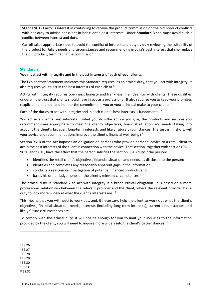**Standard 3** - Carroll's interest in continuing to receive the product commission on the old product conflicts with her duty to advise her client in her client's best interests. Under **Standard 3** she must avoid such a conflict between interest and duty.

Carroll takes appropriate steps to avoid the conflict of interest and duty by duly reviewing the suitability of the product for Julia's needs and circumstances and recommending in Julia's best interest that she replace the old product, terminating the commission.

# <span id="page-12-0"></span>**Standard 2**

#### **You must act with integrity and in the best interests of each of your clients.**

The Explanatory Statement indicates this Standard requires, as an ethical duty, that you act with integrity. It also requires you to act in the best interests of each client.<sup>[5](#page-12-1)</sup>

Acting with integrity requires openness, honesty and frankness in all dealings with clients. These qualities underpin the trust that clients should have in you as a professional. It also requires you to keep your promises (explicit and implied) and honour the commitments you or your principal make to your clients.<sup>[6](#page-12-2)</sup>

Each of the duties to act with integrity and in each client's best interests is fundamental.<sup>[7](#page-12-3)</sup>

You act in a client's best interests if what you do—the advice you give, the products and services you recommend—are appropriate to meet the client's objectives, financial situation and needs, taking into account the client's broader, long-term interests and likely future circumstances. The test is, in short: will your advice and recommendations improve the client's financial well-being?[8](#page-12-4)

Section 961B of the Act imposes an obligation on persons who provide personal advice to a retail client to act in the best interests of the client in connection with the advice. That section, together with sections 961C, 961D and 961E, have the effect that the person satisfies the section 961B duty if the person:

- identifies the retail client's objectives, financial situation and needs, as disclosed to the person;
- identifies and completes any reasonably apparent gaps in the information;
- conducts a reasonable investigation of potential financial products; and
- bases his or her judgements on the client's relevant circumstances.<sup>[9](#page-12-5)</sup>

The ethical duty in Standard 2 to act with integrity is a broad ethical obligation. It is based on a more professional relationship between the relevant provider and the client, where the relevant provider has a duty to look more widely at what the client's interests are.<sup>[10](#page-12-6)</sup>

This means that you will need to work out, and, if necessary, help the client to work out what the client's objectives, financial situation, needs, interests (including long-term interests), current circumstances and likely future circumstances are.

To comply with the ethical duty, it will not be enough for you to limit your inquiries to the information provided by the client; you will need to inquire more widely into the client's circumstances.<sup>[11](#page-12-7)</sup>

- <span id="page-12-2"></span><sup>6</sup> ES:27
- <span id="page-12-3"></span><sup>7</sup> ES:28
- <span id="page-12-4"></span><sup>8</sup> ES:29
- <span id="page-12-5"></span><sup>9</sup> ES:30 <sup>10</sup> ES:31
- <span id="page-12-7"></span><span id="page-12-6"></span><sup>11</sup> ES:32

<span id="page-12-1"></span><sup>5</sup> ES:26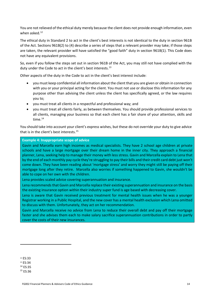You are not relieved of the ethical duty merely because the client does not provide enough information, even when asked. $12$ 

The ethical duty in Standard 2 to act in the client's best interests is not identical to the duty in section 961B of the Act. Sections 961B(2) to (4) describe a series of steps that a relevant provider may take; if those steps are taken, the relevant provider will have satisfied the "good faith" duty in section 961B(1). This Code does not have any equivalent provisions.

So, even if you follow the steps set out in section 961B of the Act, you may still not have complied with the duty under the Code to act in the client's best interests.<sup>[13](#page-13-2)</sup>

Other aspects of the duty in the Code to act in the client's best interest include:

- you must keep confidential all information about the client that you are given or obtain in connection with you or your principal acting for the client. You must not use or disclose this information for any purpose other than advising the client unless the client has specifically agreed, or the law requires you to;
- you must treat all clients in a respectful and professional way; and
- you must treat all clients fairly, as between themselves. You should provide professional services to all clients, managing your business so that each client has a fair share of your attention, skills and time[.14](#page-13-3)

You should take into account your client's express wishes, but these do not override your duty to give advice that is in the client's best interests.[15](#page-13-4)

# <span id="page-13-0"></span>**Example 4: Inappropriate scope of advice**

Gavin and Marcella earn high incomes as medical specialists. They have 2 school age children at private schools and have a large mortgage over their dream home in the inner city. They approach a financial planner, Lena, seeking help to manage their money with less stress. Gavin and Marcella explain to Lena that by the end of each monthly pay cycle they're struggling to pay their bills and their credit card debt just won't come down. They have been reading about 'mortgage stress' and worry they might still be paying off their mortgage long after they retire. Marcella also worries if something happened to Gavin, she wouldn't be able to cope on her own with the children.

Lena provides scaled advice covering superannuation and insurance.

Lena recommends that Gavin and Marcella replace their existing superannuation and insurance on the basis the existing insurance option within their industry super fund is age based with decreasing cover.

Lena is aware that Gavin received previous treatment for mental health issues when he was a younger Registrar working in a Public Hospital, and the new cover has a mental health exclusion which Lena omitted to discuss with them. Unfortunately, they act on her recommendation.

Gavin and Marcella receive no advice from Lena to reduce their overall debt and pay off their mortgage faster and she advises them each to make salary sacrifice superannuation contributions in order to partly cover the costs of their new insurances.

<span id="page-13-1"></span><sup>12</sup> ES:33

<span id="page-13-2"></span><sup>&</sup>lt;sup>13</sup> ES:34

<span id="page-13-3"></span><sup>14</sup> ES:35

<span id="page-13-4"></span><sup>15</sup> ES:36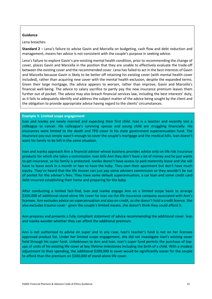# **Guidance**

Lena breaches:

**Standard 2** – Lena's failure to advise Gavin and Marcella on budgeting, cash flow and debt reduction and management, means her advice is not consistent with the couple's purpose in seeking advice.

Lena's failure to explore Gavin's pre-existing mental health condition, prior to recommending the change of cover, places Gavin and Marcella in the position that they are unable to effectively evaluate the trade-off between the existing cover and the recommended cover. Lena has failed to act in the best interests of Gavin and Marcella because Gavin is likely to be better off retaining his existing cover (with mental health cover included), rather than acquiring new cover with the mental health exclusion, despite the expanded terms. Given their large mortgage, the advice appears to worsen, rather than improve, Gavin and Marcella's financial well-being. The advice to salary sacrifice to partly pay the new insurance premium leaves them further out of pocket. The advice may also breach financial services law, including the best interests' duty, as it fails to adequately identify and address the subject matter of the advice being sought by the client and the obligation to provide appropriate advice having regard to the clients' circumstances.

# <span id="page-14-0"></span>**Example 5: Limited scope engagement**

Ivan and Ivanka are newly married and expecting their first child. Ivan is a teacher and recently lost a colleague to cancer. His colleague's surviving spouse and young child are struggling financially. His insurances were limited to the death and TPD cover in his state government superannuation fund. The insurance pay-out simply wasn't enough to cover the couple's mortgage and the medical bills. Ivan doesn't want his family to be left in the same situation.

Ivan and Ivanka approach Ann a financial adviser whose business provides advice only on life risk insurance products for which she takes a commission. Ivan tells Ann they don't have a lot of money and he just wants to get insurance, so his family is protected. Ivanka doesn't have access to paid maternity leave and she will have to leave work in a month or two to have the baby. They own their apartment but don't have much equity. They've heard that the life insurer can just pay some advisers commission so they wouldn't be out of pocket for the adviser's fees. They have some default superannuation, a car loan and some credit card debt incurred establishing their home and preparing for the baby.

After conducting a limited fact-find, Ivan and Ivanka engage Ann on a limited scope basis to arrange \$300,000 of additional stand-alone life cover for Ivan via the life insurance company associated with Ann's licensee. Ann excludes advice on superannuation and also on credit, as she doesn't hold a credit licence. She also excludes trauma cover - given the couple's limited means, she doesn't think they could afford it.

Ann prepares and presents a fully compliant statement of advice recommending the additional cover. Ivan and Ivanka wonder whether they can afford the additional premium.

Ann is not authorised to advise on super and in any case, Ivan's teacher's fund is not on her licensee approved product list. Under her limited scope engagement, she did not investigate Ivan's existing cover held through his super fund. Unbeknown to Ann and Ivan, Ivan's super fund permits the purchase of topups of units of his existing life cover at key lifetime milestones including the birth of a child. With a modest adjustment to their spending, the additional \$200,000 in cover would be significantly easier for the couple to afford than the premium on \$300,000 of stand-alone life cover.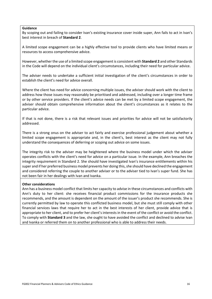#### **Guidance**

By scoping out and failing to consider Ivan's existing insurance cover inside super, Ann fails to act in Ivan's best interest in breach of **Standard 2**.

A limited scope engagement can be a highly effective tool to provide clients who have limited means or resources to access comprehensive advice.

However, whether the use of a limited scope engagement is consistent with **Standard 2** and other Standards in the Code will depend on the individual client's circumstances, including their need for particular advice.

The adviser needs to undertake a sufficient initial investigation of the client's circumstances in order to establish the client's need for advice overall.

Where the client has need for advice concerning multiple issues, the adviser should work with the client to address how those issues may reasonably be prioritised and addressed, including over a longer time frame or by other service providers. If the client's advice needs can be met by a limited scope engagement, the adviser should obtain comprehensive information about the client's circumstances as it relates to the particular advice.

If that is not done, there is a risk that relevant issues and priorities for advice will not be satisfactorily addressed.

There is a strong onus on the adviser to act fairly and exercise professional judgement about whether a limited scope engagement is appropriate and, in the client's, best interest as the client may not fully understand the consequences of deferring or scoping out advice on some issues.

The integrity risk to the adviser may be heightened where the business model under which the adviser operates conflicts with the client's need for advice on a particular issue. In the example, Ann breaches the integrity requirement in Standard 2. She should have investigated Ivan's insurance entitlements within his super and if her preferred business model prevents her doing this, she should have declined the engagement and considered referring the couple to another adviser or to the adviser tied to Ivan's super fund. She has not been fair in her dealings with Ivan and Ivanka.

#### **Other considerations**

<span id="page-15-0"></span>Ann has a business model conflict that limits her capacity to advise in these circumstances and conflicts with Ann's duty to her client: she receives financial product commissions for the insurance products she recommends, and the amount is dependent on the amount of the issuer's product she recommends. She is currently permitted by law to operate this conflicted business model, but she must still comply with other financial services laws that require her to act in the best interests of her client, provide advice that is appropriate to her client, and to prefer her client's interests in the event of the conflict or avoid the conflict. To comply with **Standard 3** and the law, she ought to have avoided the conflict and declined to advise Ivan and Ivanka or referred them on to another professional who is able to address their needs.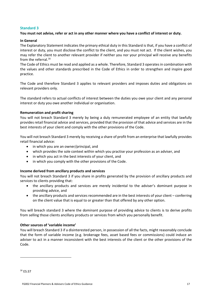# **Standard 3**

# **You must not advise, refer or act in any other manner where you have a conflict of interest or duty.**

# **In General**

The Explanatory Statement indicates the primary ethical duty in this Standard is that, if you have a conflict of interest or duty, you must disclose the conflict to the client, and you must not act. If the client wishes, you may refer the client to another relevant provider if neither you nor your principal will receive any benefits from the referral.<sup>[16](#page-16-0)</sup>

The Code of Ethics must be read and applied as a whole. Therefore, Standard 3 operates in combination with the values and other standards prescribed in the Code of Ethics in order to strengthen and inspire good practice.

The Code and therefore Standard 3 applies to relevant providers and imposes duties and obligations on relevant providers only.

The standard refers to actual conflicts of interest between the duties you owe your client and any personal interest or duty you owe another individual or organisation.

#### **Remuneration and profit sharing**

You will not breach Standard 3 merely by being a duly remunerated employee of an entity that lawfully provides retail financial advice and services, provided that the provision of that advice and services are in the best interests of your client and comply with the other provisions of the Code.

You will not breach Standard 3 merely by receiving a share of profit from an enterprise that lawfully provides retail financial advice:

- in which you are an owner/principal, and
- which provides the sole context within which you practise your profession as an adviser, and
- in which you act in the best interests of your client, and
- in which you comply with the other provisions of the Code.

# **Income derived from ancillary products and services**

You will not breach Standard 3 if you share in profits generated by the provision of ancillary products and services to clients providing that:

- the ancillary products and services are merely incidental to the adviser's dominant purpose in providing advice, and
- the ancillary products and services recommended are in the best interests of your client conferring on the client value that is equal to or greater than that offered by any other option.

You will breach standard 3 where the dominant purpose of providing advice to clients is to derive profits from selling those clients ancillary products or services from which you personally benefit.

# **Other sources of 'variable income'**

You will breach Standard 3 if a disinterested person, in possession of all the facts, might reasonably conclude that the form of variable income (e.g. brokerage fees, asset based fees or commissions) could induce an adviser to act in a manner inconsistent with the best interests of the client or the other provisions of the Code.

<span id="page-16-0"></span><sup>16</sup> ES:37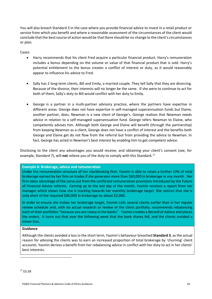You will also breach Standard 3 in the case where you provide financial advice to invest in a retail product or service from which you benefit and where a reasonable assessment of the circumstances of the client would conclude that the best course of action would be that there should be no change to the client's circumstances or plan.

Cases:

- Harry recommends that his client Fred acquire a particular financial product. Harry's remuneration includes a bonus depending on the volume or value of that financial product that is sold. Harry's potential entitlement to the bonus creates a conflict of interest or duty, as it would reasonably appear to influence his advice to Fred.
- Sally has 2 long-term clients, Bill and Emily, a married couple. They tell Sally that they are divorcing. Because of the divorce, their interests will no longer be the same. If she were to continue to act for both of them, Sally's duty to Bill would conflict with her duty to Emily.
- George is a partner in a multi-partner advisory practice, where the partners have expertise in different areas. George does not have expertise in self-managed superannuation funds but Elaine, another partner, does. Newman is a new client of George's. George realises that Newman needs advice in relation to a self-managed superannuation fund. George refers Newman to Elaine, who competently advises him. Although both George and Elaine will benefit (through the partnership) from keeping Newman as a client, George does not have a conflict of interest and the benefits both George and Elaine get do not flow from the referral but from providing the advice to Newman. In fact, George has acted in Newman's best interest by enabling him to get competent advice.

Disclosing to the client any advantages you would receive, and obtaining your client's consent (see, for example, Standard 7), will **not** relieve you of the duty to comply with this Standard.[17](#page-17-1)

# <span id="page-17-0"></span>**Example 6: Brokerage, advice and remuneration**

Under the remuneration structure of her stockbroking firm, Yasmin is able to retain a further 10% of total brokerage earned by her firm on trades if she generates more than \$80,000 in brokerage in any month. Her firm takes advantage of the carve out from the conflicted remuneration provisions introduced by the Future of Financial Advice reforms. Coming up to the last day of the month, Yasmin receives a report from her manager which shows how she is tracking towards her monthly brokerage target. She notices that she is only short of the required \$80,000 in brokerage by about \$2,000.

In order to ensure she makes her brokerage target, Yasmin calls several clients earlier than in her regular review schedule and, with no actual research or review of the client portfolio, recommends rebalancing each of their portfolios "because you are heavy in the banks". Yasmin creates a Record of Advice and places the orders. It turns out that over the following week that the bank shares fell, and the clients avoided a minor loss.

#### **Guidance**

<span id="page-17-1"></span>Although the clients avoided a loss in the short term, Yasmin's behaviour breached **Standard 3**, as the actual reason for advising the clients was to earn an increased proportion of total brokerage by 'churning' client accounts. Yasmin derives a benefit from her rebalancing advice in conflict with her duty to act in her clients' best interests.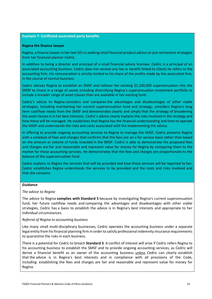# <span id="page-18-0"></span>**Example 7: Conflicted associated party benefits**

#### **Regina the finance lawyer**

Regina, a finance lawyer in her late 50's is seeking retail financial product advice on pre-retirement strategies from her financial planner Cedric.

In addition to being a director and principal of a small financial advice licensee, Cedric is a principal of an associated accounting business. Cedric does not receive any fee or benefit linked to clients he refers to the accounting firm. His remuneration is strictly limited to his share of the profits made by the associated firm, in the course of normal business.

Cedric advises Regina to establish an SMSF and rollover her existing \$1,200,000 superannuation into the SMSF to invest in a range of assets including diversifying Regina's superannuation investment portfolio to include a broader range of asset classes than are available in her existing fund.

Cedric's advice to Regina considers and compares the advantages and disadvantages of other viable strategies, including maintaining her current superannuation fund and strategy, considers Regina's long term cashflow needs from the SMSF and demonstrates clearly and simply that the strategy of broadening the asset classes is in her best interests. Cedric's advice clearly explains the risks involved in the strategy and how these will be managed. He establishes that Regina has the financial understanding and time to operate the SMSF and understands the risks and costs associated with the implementing the advice.

In offering to provide ongoing accounting services to Regina to manage the SMSF, Cedric presents Regina with a schedule of fees and charges that confirms that the fees are on a for service basis rather than based on the amount or volume of funds invested in the SMSF. Cedric is able to demonstrate the proposed fees and charges are fair and reasonable and represent value for money for Regina by comparing them to the market for those accounting services. He demonstrates that the fees and charges are proportionate to the balance of the superannuation fund.

Cedric explains to Regina the services that will be provided and how those services will be reported to her. Cedric establishes Regina understands the services to be provided and the costs and risks involved and that she consents.

#### **Guidance**

#### *The advice to Regina*

The advice to Regina **complies with Standard 5** because by investigating Regina's current superannuation fund, her future cashflow needs and comparing the advantages and disadvantages with other viable strategies, Cedric has a basis to establish the advice is in Regina's best interests and appropriate to her individual circumstances.

#### *Referral of Regina to accounting business*

Like many small multi-disciplinary businesses, Cedric operates the accounting business under a separate legal entity from his financial planning firm in order to satisfy professional indemnity insurance requirements to quarantine the risks in each business.

There is a potential for Cedric to breach **Standard 3**. A conflict of interest will arise if Cedric refers Regina to his accounting business to establish the SMSF and to provide ongoing accounting services, as Cedric will derive a financial benefit as an owner of the accounting business unless Cedric can clearly establish that the advice is in Regina's best interests and in compliance with all provisions of the Code, including establishing the fees and charges are fair and reasonable and represent value for money for Regina.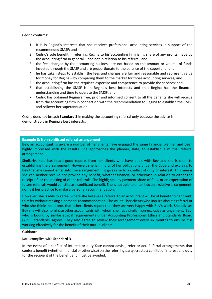# Cedric confirms:

- 1. it is in Regina's interests that she receives professional accounting services in support of the recommended SMSF; and
- 2. Cedric's sole benefit in referring Regina to his accounting firm is his share of any profits made by the accounting firm in general – and not in relation to his referral; and
- 3. the fees charged by the accounting business are not based on the amount or volume of funds invested through the SMSF and are proportionate to the balance of the superfund; and
- 4. he has taken steps to establish the fees and charges are fair and reasonable and represent value for money for Regina – by comparing them to the market for those accounting services; and
- 5. the accounting firm has the requisite expertise and competence to provide the services; and
- 6. that establishing the SMSF is in Regina's best interests and that Regina has the financial understanding and time to operate the SMSF; and
- 7. Cedric has obtained Regina's free, prior and informed consent to all the benefits she will receive from the accounting firm in connection with the recommendation to Regina to establish the SMSF and rollover her superannuation.

Cedric does not breach **Standard 3** in making the accounting referral only because the advice is demonstrably in Regina's best interests.

#### <span id="page-19-0"></span>**Example 8: Non-conflicted referral arrangement**

Bev, an accountant, is aware a number of her clients have engaged the same financial planner and been highly impressed with the results. She approaches the planner, Kate, to establish a mutual referral arrangement.

Similarly, Kate has heard good reports from her clients who have dealt with Bev and she is open to establishing the arrangement. However, she is mindful of her obligations under the Code and explains to Bev that she cannot enter into the arrangement if it gives rise to a conflict of duty or interest. This means she can neither receive nor provide any benefit, whether financial or otherwise in relation to either the receipt of, or the making of client referrals. She highlights any payment share of fees, or an expectation of future referrals would constitute a conflicted benefit. She is not able to enter into an exclusive arrangement, nor is it her practice to make a personal recommendation.

However, she is able to agree, where she believes a referral to an accountant will be of benefit to her client, to refer without making a personal recommendation. She will tell her clients who inquire about a referral or who she thinks need one, that other clients report that they are very happy with Bev's work. She advises Bev she will also nominate other accountants with whom she has a similar non-exclusive arrangement. Bev, who is bound by similar ethical requirements under Accounting Professional Ethics and Standards Board (APES) standards, agrees. They also agree to review their arrangement every six months to ensure it is working effectively for the benefit of their mutual clients.

#### **Guidance**

Kate complies with **Standard 3**.

In the event of a conflict of interest or duty Kate cannot advise, refer or act. Referral arrangements that confer a benefit (whether financial or otherwise) on the referring party, create a conflict of interest and duty for the recipient of the benefit and must be avoided.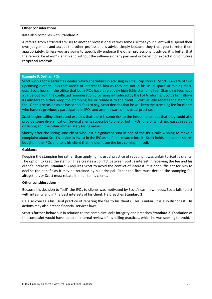#### **Other considerations**

Kate also complies with **Standard 2.**

A referral from a trusted adviser to another professional carries some risk that your client will suspend their own judgement and accept the other professional's advice simply because they trust you to refer them appropriately. Unless you are going to specifically endorse the other professional's advice, it is better that the referral be at arm's length and without the influence of any payment or benefit or expectation of future reciprocal referrals.

#### <span id="page-20-0"></span>**Example 9: Selling IPOs**

Scott works for a securities dealer which specialises in advising in small cap stocks. Scott is aware of two upcoming biotech IPOs that aren't of interest to him as they are not in his usual space of mining startups. Scott hears in the office that both IPOs have a relatively high 6.5% stamping fee. Stamping fees have a carve-out from the conflicted remuneration provisions introduced by the FoFA reforms. Scott's firm allows its advisers to either keep the stamping fee or rebate it to the client. Scott usually rebates the stamping fee. On this occasion as he has school fees to pay, Scott decides that he will keep the stamping fee for clients who haven't previously participated in IPOs and aren't aware of his usual practice.

Scott begins calling clients and explains that there is some risk to the investments, but that they could also provide some diversification. Several clients subscribe to one or both IPOs, one of which increases in value on listing and the other immediately losing value.

Shortly after the listing, one client who lost a significant sum in one of the IPOs calls wishing to make a complaint about Scott's advice to invest in the IPO as he felt pressured into it. Scott holds no biotech shares bought in the IPOs and tells his client that he didn't see the loss coming himself.

#### **Guidance**

Keeping the stamping fee rather than applying his usual practice of rebating it was unfair to Scott's clients. The option to keep the stamping fee creates a conflict between Scott's interest in receiving the fee and his client's interests. **Standard 3** requires Scott to avoid the conflict of interest. It is not sufficient for him to decline the benefit as it may be retained by his principal. Either the firm must decline the stamping fee altogether, or Scott must rebate it in full to his clients.

#### **Other considerations**

Because his decision to "sell" the IPOs to clients was motivated by Scott's cashflow needs, Scott fails to act with integrity and in the best interests of his client. He breaches **Standard 2**.

He also conceals his usual practice of rebating the fee to his clients. This is unfair. It is also dishonest. His actions may also breach financial services laws.

Scott's further behaviour in relation to the complaint lacks integrity and breaches **Standard 2**. Escalation of the complaint would have led to an internal review of his selling practices, which he was seeking to avoid.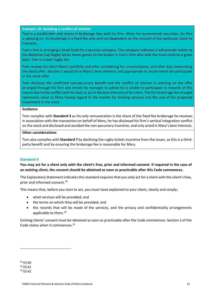# <span id="page-21-0"></span>**Example 10: Avoiding a conflict of interest**

Tom is a stockbroker and shares in brokerage fees with his firm. When he recommends securities, his firm is advising on, his brokerage is a fixed fee only and not dependent on the amount of the particular stock he transacts.

Tom's firm is arranging a book build for a services company. The company indicates it will provide tickets to the Bledisloe Cup Rugby Series home games to the broker in Tom's firm who sells the most stock by a given date. Tom is a keen rugby fan.

Tom reviews his client Mary's portfolio and after considering her circumstances, and after duly researching the stock offer, decides it would be in Mary's best interests and appropriate to recommend she participate in the stock offer.

Tom discloses the conflicted non-pecuniary benefit and the conflict of interest in advising on the offer arranged through his firm and emails his manager to advise he is unable to participate in rewards of this nature due to the conflict with his duty to act in the best interests of his client. The flat brokerage fee charged represents value to Mary having regard to the market for broking services and the size of her proposed investment in the stock.

#### **Guidance**

Tom complies with **Standard 3** as his only remuneration is the share of the fixed fee brokerage he receives in association with the transaction on behalf of Mary, he has disclosed his firm's vertical integration conflict on the stock and disclosed and avoided the non-pecuniary incentive, and only acted in Mary's best interests.

#### **Other considerations**

Tom also complies with **Standard 7** by declining the rugby tickets incentive from the issuer, as this is a thirdparty benefit and by ensuring the brokerage fee is reasonable for Mary.

# <span id="page-21-1"></span>**Standard 4**

**You may act for a client only with the client's free, prior and informed consent. If required in the case of an existing client, the consent should be obtained as soon as practicable after this Code commences.**

The Explanatory Statement indicates this standard requires that you only act for a client with the client's free, prior and informed consent.[18](#page-21-2)

This means that, before you start to act, you must have explained to your client, clearly and simply:

- what services will be provided; and
- the terms on which they will be provided; and
- the records that will be made of the services, and the privacy and confidentiality arrangements applicable to them.<sup>[19](#page-21-3)</sup>

Existing clients' consent must be obtained as soon as practicable after the Code commences. Section 2 of the Code states when it commences.<sup>[20](#page-21-4)</sup>

<span id="page-21-2"></span><sup>&</sup>lt;sup>18</sup> ES:40 <sup>19</sup> ES:41

<span id="page-21-4"></span><span id="page-21-3"></span> $20 FS:42$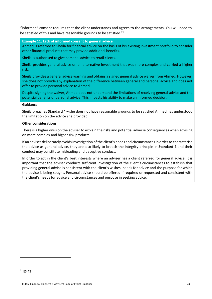"Informed" consent requires that the client understands and agrees to the arrangements. You will need to be satisfied of this and have reasonable grounds to be satisfied. $21$ 

<span id="page-22-0"></span>**Example 11: Lack of informed consent to general advice**

Ahmed is referred to Sheila for financial advice on the basis of his existing investment portfolio to consider other financial products that may provide additional benefits.

Sheila is authorised to give personal advice to retail clients.

Sheila provides general advice on an alternative investment that was more complex and carried a higher risk.

Sheila provides a general advice warning and obtains a signed general advice waiver from Ahmed. However, she does not provide any explanation of the difference between general and personal advice and does not offer to provide personal advice to Ahmed.

Despite signing the waiver, Ahmed does not understand the limitations of receiving general advice and the potential benefits of personal advice. This impacts his ability to make an informed decision.

#### **Guidance**

Sheila breaches **Standard 4** – she does not have reasonable grounds to be satisfied Ahmed has understood the limitation on the advice she provided.

# **Other considerations**

There is a higher onus on the adviser to explain the risks and potential adverse consequences when advising on more complex and higher risk products.

If an adviser deliberately avoids investigation of the client's needs and circumstances in order to characterise the advice as general advice, they are also likely to breach the integrity principle in **Standard 2** and their conduct may constitute misleading and deceptive conduct.

<span id="page-22-1"></span>In order to act in the client's best interests where an adviser has a client referred for general advice, it is important that the adviser conducts sufficient investigation of the client's circumstances to establish that providing general advice is consistent with the client's wishes, needs for advice and the purpose for which the advice is being sought. Personal advice should be offered if required or requested and consistent with the client's needs for advice and circumstances and purpose in seeking advice.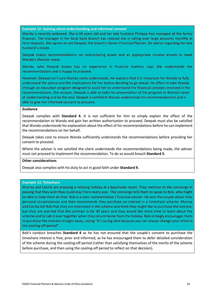<span id="page-23-0"></span>**Example 12: Gaining client understanding and informed consent**

Wanda is recently widowed. She is 68 years old and her late husband Philippe had managed all the family finances. The manager in her local bank branch has noticed she is rolling over large amounts monthly in term deposits. She agrees to see Deepak, the branch's Senior Financial Planner, for advice regarding her late husband's estate.

Deepak makes recommendations on restructuring assets and an appropriate income stream to meet Wanda's lifestyle needs.

Wanda, who Deepak knows has no experience in financial matters, says she understands the recommendations and is happy to proceed.

However, Deepak isn't sure Wanda really understands. He explains that it is important for Wanda to fully understand the advice and the implications for her before deciding to go ahead. He offers to take Wanda through an education program designed to assist her to understand the financial concepts involved in the recommendations. She accepts. Deepak is able to tailor his presentation of the program to Wanda's level of understanding and by the end, Deepak is confident Wanda understands his recommendations and is able to give her informed consent to proceed.

#### **Guidance**

Deepak complies with **Standard 4**. It is not sufficient for him to simply explain the effect of the recommendation to Wanda and gain her written authorisation to proceed. Deepak must also be satisfied that Wanda understands his explanation about the effect of his recommendations before he can implement the recommendations on her behalf.

Deepak takes care to ensure Wanda sufficiently understands the recommendations before providing her consent to proceed.

Where the adviser is not satisfied the client understands the recommendations being made, the adviser must not proceed to implement the recommendation. To do so would breach **Standard 5**.

#### **Other considerations**

Deepak also complies with his duty to act in good faith under **Standard 9.**

#### <span id="page-23-1"></span>**Example 13: Timeshare**

Murray and Cecilia are enjoying a relaxing holiday at a beachside resort. They mention to the concierge in passing that they wish they could stay there every year. The concierge tells them to speak to Bob, who might be able to help them do that. Bob is a sales representative / financial adviser. He asks the couple about their personal circumstances and then recommends they purchase an interest in a timeshare scheme. Murray and Cecilia tell Bob that they are interested in the scheme and think they might like to purchase the interest, but they are worried that the contract is for 30 years and they would like more time to learn about the scheme and to talk it over together when they return home from the holiday. Bob strongly encourages them to purchase the interest straight away, saying "it's no big deal because you can always change your mind in the cooling-off period".

Bob's conduct breaches **Standard 4** as he has not ensured that the couple's consent to purchase the timeshare interest is free, prior and informed, as he has encouraged them to defer detailed consideration of the scheme during the cooling-off period (rather than satisfying themselves of the merits of the scheme before purchase, and then using the cooling-off period to reflect on that decision).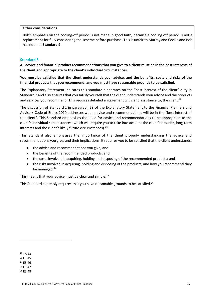#### **Other considerations**

Bob's emphasis on the cooling-off period is not made in good faith, because a cooling off period is not a replacement for fully considering the scheme before purchase. This is unfair to Murray and Cecilia and Bob has not met **Standard 9**.

# <span id="page-24-0"></span>**Standard 5**

**All advice and financial product recommendations that you give to a client must be in the best interests of the client and appropriate to the client's individual circumstances.**

**You must be satisfied that the client understands your advice, and the benefits, costs and risks of the financial products that you recommend, and you must have reasonable grounds to be satisfied.**

The Explanatory Statement indicates this standard elaborates on the "best interest of the client" duty in Standard 2 and also ensures that you satisfy yourself that the client understands your advice and the products and services you recommend. This requires detailed engagement with, and assistance to, the client.<sup>[22](#page-24-1)</sup>

The discussion of Standard 2 in paragraph 29 of the Explanatory Statement to the Financial Planners and Advisers Code of Ethics 2019 addresses when advice and recommendations will be in the "best interest of the client". This Standard emphasises the need for advice and recommendations to be appropriate to the client's individual circumstances (which will require you to take into account the client's broader, long-term interests and the client's likely future circumstances).<sup>[23](#page-24-2)</sup>

This Standard also emphasises the importance of the client properly understanding the advice and recommendations you give, and their implications. It requires you to be satisfied that the client understands:

- the advice and recommendations you give; and
- the benefits of the recommended products; and
- the costs involved in acquiring, holding and disposing of the recommended products; and
- the risks involved in acquiring, holding and disposing of the products, and how you recommend they be managed. $24$

This means that your advice must be clear and simple.<sup>[25](#page-24-4)</sup>

This Standard expressly requires that you have reasonable grounds to be satisfied.<sup>[26](#page-24-5)</sup>

<span id="page-24-1"></span><sup>22</sup> ES:44

<span id="page-24-2"></span><sup>23</sup> ES:45

<span id="page-24-3"></span><sup>24</sup> ES:46

<span id="page-24-4"></span><sup>25</sup> ES:47

<span id="page-24-5"></span><sup>26</sup> ES:48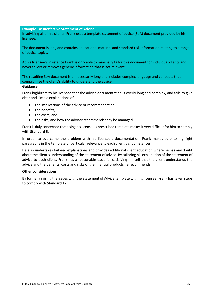<span id="page-25-0"></span>**Example 14: Ineffective Statement of Advice**

In advising all of his clients, Frank uses a template statement of advice (SoA) document provided by his licensee.

The document is long and contains educational material and standard risk information relating to a range of advice topics.

At his licensee's insistence Frank is only able to minimally tailor this document for individual clients and, never tailors or removes generic information that is not relevant.

The resulting SoA document is unnecessarily long and includes complex language and concepts that compromise the client's ability to understand the advice.

#### **Guidance**

Frank highlights to his licensee that the advice documentation is overly long and complex, and fails to give clear and simple explanations of:

- the implications of the advice or recommendation;
- the benefits;
- the costs; and
- the risks, and how the adviser recommends they be managed.

Frank is duly concerned that using his licensee's prescribed template makes it very difficult for him to comply with **Standard 5**.

In order to overcome the problem with his licensee's documentation, Frank makes sure to highlight paragraphs in the template of particular relevance to each client's circumstances.

He also undertakes tailored explanations and provides additional client education where he has any doubt about the client's understanding of the statement of advice. By tailoring his explanation of the statement of advice to each client, Frank has a reasonable basis for satisfying himself that the client understands the advice and the benefits, costs and risks of the financial products he recommends.

#### **Other considerations**

By formally raising the issues with the Statement of Advice template with his licensee, Frank has taken steps to comply with **Standard 12.**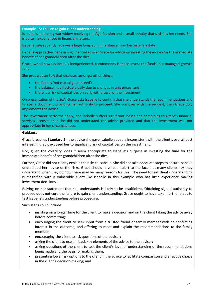<span id="page-26-0"></span>**Example 15: Failure to gain client understanding**

Isabelle is an elderly war widow receiving the Age Pension and a small annuity that satisfies her needs. She is quite inexperienced in financial matters.

Isabelle subsequently receives a large lump sum inheritance from her sister's estate.

Isabelle approaches her existing financial adviser Grace for advice on investing the money for the immediate benefit of her grandchildren after she dies.

Grace, who knows Isabelle is inexperienced, recommends Isabelle invest the funds in a managed growth fund.

She prepares an SoA that discloses amongst other things:

- the fund is 'not capital guaranteed';
- the balance may fluctuate daily due to changes in unit prices; and
- there is a risk of capital loss on early withdrawal of the investment.

On presentation of the SoA, Grace asks Isabelle to confirm that she understands the recommendations and to sign a document providing her authority to proceed. She complies with the request, then Grace duly implements the advice.

The investment performs badly, and Isabelle suffers significant losses and complains to Grace's financial services licensee that she did not understand the advice provided and that the investment was not appropriate in her circumstances.

#### **Guidance**

Grace breaches **Standard 5** - the advice she gave Isabelle appears inconsistent with the client's overall best interest in that it exposed her to significant risk of capital loss on the investment.

Nor, given the volatility, does it seem appropriate to Isabelle's purpose in investing the fund for the immediate benefit of her grandchildren after she dies.

Further, Grace did not clearly explain the risks to Isabelle. She did not take adequate steps to ensure Isabelle understood her advice or the risks. Grace should have been alert to the fact that many clients say they understand when they do not. There may be many reasons for this. The need to test client understanding is magnified with a vulnerable client like Isabelle in this example who has little experience making investment decisions.

Relying on her statement that she understands is likely to be insufficient. Obtaining signed authority to proceed does not cure the failure to gain client understanding. Grace ought to have taken further steps to test Isabelle's understanding before proceeding.

Such steps could include:

- insisting on a longer time for the client to make a decision and on the client taking the advice away before committing;
- encouraging the client to seek input from a trusted friend or family member with no conflicting interest in the outcome, and offering to meet and explain the recommendations to the family member;
- encouraging the client to ask questions of the adviser;
- asking the client to explain back key elements of the advice to the adviser;
- asking questions of the client to test the client's level of understanding of the recommendations being made and the basis for making them;
- presenting lower risk options to the client in the advice to facilitate comparison and effective choice in the client's decision-making; and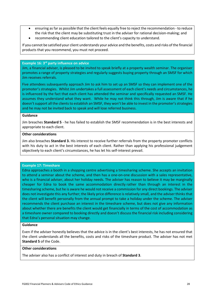- ensuring as far as possible that the client feels equally free to reject the recommendation to reduce the risk that the client may be substituting trust in the adviser for rational decision-making; and
- recommending client education tailored to the client's capacity to understand.

If you cannot be satisfied your client understands your advice and the benefits, costs and risks of the financial products that you recommend, you must not proceed.

#### <span id="page-27-0"></span>**Example 16: 3rd party influence on advice**

Jim, a financial adviser, is pleased to be invited to speak briefly at a property wealth seminar. The organiser promotes a range of property strategies and regularly suggests buying property through an SMSF for which Jim receives referrals.

Five attendees subsequently approach Jim to ask him to set up an SMSF so they can implement one of the promoter's strategies. Whilst Jim undertakes a full assessment of each client's needs and circumstances, he is influenced by the fact that each client has attended the seminar and specifically requested an SMSF. He assumes they understand what they want. While he may not think this through, Jim is aware that if he doesn't support all the clients to establish an SMSF, they won't be able to invest in the promoter's strategies and he may not be invited back to speak and will lose referred business.

# **Guidance**

Jim breaches **Standard 5** - he has failed to establish the SMSF recommendation is in the best interests and appropriate to each client.

# **Other considerations**

Jim also breaches **Standard 3.** His interest to receive further referrals from the property promoter conflicts with his duty to act in the best interests of each client. Rather than applying his professional judgement objectively to each client's circumstances, he has let his self-interest prevail.

#### <span id="page-27-1"></span>**Example 17: Timeshare**

Edna approaches a booth in a shopping centre advertising a timesharing scheme. She accepts an invitation to attend a seminar about the scheme, and then has a one-on-one discussion with a sales representative, who is a financial adviser, about her holiday needs. The adviser has reason to believe it may be marginally cheaper for Edna to book the same accommodation directly rather than through an interest in the timesharing scheme, but he is aware he would not receive a commission for any direct bookings. The adviser does not investigate this any further; the likely price difference is relatively small, and the adviser thinks that the client will benefit personally from the annual prompt to take a holiday under the scheme. The adviser recommends the client purchase an interest in the timeshare scheme, but does not give any information about whether there are benefits the client would get financially in terms of the cost of accommodation as a timeshare owner compared to booking directly and doesn't discuss the financial risk including considering that Edna's personal situation may change.

#### **Guidance**

Even if the adviser honestly believes that the advice is in the client's best interests, he has not ensured that the client understands all the benefits, costs and risks of the timeshare product. The adviser has not met **Standard 5** of the Code.

# **Other considerations**

The adviser also has a conflict of interest and duty in breach of **Standard 3**.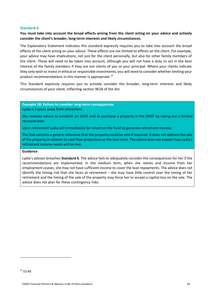# <span id="page-28-0"></span>**Standard 6**

# **You must take into account the broad effects arising from the client acting on your advice and actively consider the client's broader, long-term interests and likely circumstances.**

The Explanatory Statement indicates this standard expressly requires you to take into account the broad effects of the client acting on your advice. These effects are not limited to effects on the client. For example, your advice may have implications, not just for the client personally, but also for other family members of the client. These will need to be taken into account, although you will not have a duty to act in the best interest of the family members if they are not clients of you or your principal. Where your clients indicate they only wish to invest in ethical or responsible investments, you will need to consider whether limiting your product recommendations in this manner is appropriate.<sup>[27](#page-28-2)</sup>

This Standard expressly requires you to actively consider the broader, long-term interests and likely circumstances of your client, reflecting section 961B of the Act.

<span id="page-28-1"></span>**Example 18: Failure to consider long-term consequences** Lydia is 5 years away from retirement.

She receives advice to establish an SMSF and to purchase a property in the SMSF by taking out a limited recourse loan.

Upon retirement Lydia will immediately be reliant on the fund to generate retirement income.

The SoA contains a generic reference that the property could be sold if required. It does not address the sale of the property in relation to cash flow projections or the loan term. The advice does not explain how Lydia's retirement income needs will be met.

#### **Guidance**

Lydia's adviser breaches **Standard 6**. The advice fails to adequately consider the consequences for her if the recommendations are implemented. In the medium term, when she retires and income from her employment ceases, she may not have sufficient income to cover the loan repayments. The advice does not identify the timing risk that she faces at retirement – she may have little control over the timing of her retirement and the timing of the sale of the property may force her to accept a capital loss on the sale. The advice does not plan for these contingency risks.

<span id="page-28-2"></span><sup>27</sup> ES:49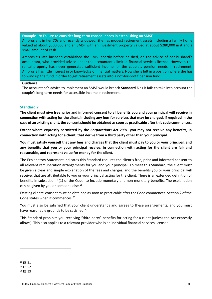## <span id="page-29-0"></span>**Example 19: Failure to consider long-term consequences in establishing an SMSF**

Ambrosia is in her 70s and recently widowed. She has modest retirement assets including a family home valued at about \$500,000 and an SMSF with an investment property valued at about \$280,000 in it and a small amount of cash.

Ambrosia's late husband established the SMSF shortly before he died, on the advice of her husband's accountant, who provided advice under the accountant's limited financial services licence. However, the rental property has never generated sufficient income for the couple's pension needs in retirement. Ambrosia has little interest in or knowledge of financial matters. Now she is left in a position where she has to wind up the fund in order to get retirement assets into a not-for-profit pension fund.

#### **Guidance**

The accountant's advice to implement an SMSF would breach **Standard 6** as it fails to take into account the couple's long-term needs for accessible income in retirement.

#### <span id="page-29-1"></span>**Standard 7**

**The client must give free**, **prior and informed consent to all benefits you and your principal will receive in connection with acting for the client, including any fees for services that may be charged. If required in the case of an existing client, the consent should be obtained as soon as practicable after this code commences.** 

**Except where expressly permitted by the** *Corporations Act 2001***, you may not receive any benefits, in connection with acting for a client, that derive from a third party other than your principal.** 

**You must satisfy yourself that any fees and charges that the client must pay to you or your principal, and any benefits that you or your principal receive, in connection with acting for the client are fair and reasonable, and represent value for money for the client.**

The Explanatory Statement indicates this Standard requires the client's free, prior and informed consent to all relevant remuneration arrangements for you and your principal. To meet this Standard, the client must be given a clear and simple explanation of the fees and charges, and the benefits you or your principal will receive, that are attributable to you or your principal acting for the client. There is an extended definition of benefits in subsection 4(1) of the Code, to include monetary and non-monetary benefits. The explanation can be given by you or someone else.<sup>28</sup>

Existing clients' consent must be obtained as soon as practicable after the Code commences. Section 2 of the Code states when it commences.<sup>[29](#page-29-3)</sup>

You must also be satisfied that your client understands and agrees to these arrangements, and you must have reasonable grounds to be satisfied.<sup>[30](#page-29-4)</sup>

This Standard prohibits you receiving "third party" benefits for acting for a client (unless the Act expressly allows). This also applies to a relevant provider who is an individual financial services licensee.

<span id="page-29-2"></span><sup>28</sup> ES:51

<span id="page-29-3"></span><sup>29</sup> ES:52

<span id="page-29-4"></span><sup>30</sup> ES:53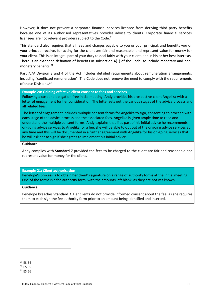However, it does not prevent a corporate financial services licensee from deriving third party benefits because one of its authorised representatives provides advice to clients. Corporate financial services licensees are not relevant providers subject to the Code.<sup>[31](#page-30-2)</sup>

This standard also requires that all fees and charges payable to you or your principal, and benefits you or your principal receive, for acting for the client are fair and reasonable, and represent value for money for your client. This is an integral part of your duty to deal fairly with your client, and in his or her best interests. There is an extended definition of benefits in subsection 4(1) of the Code, to include monetary and nonmonetary benefits.[32](#page-30-3)

Part 7.7A Division 3 and 4 of the Act includes detailed requirements about remuneration arrangements, including "conflicted remuneration". The Code does not remove the need to comply with the requirements of these Divisions.<sup>[33](#page-30-4)</sup>

<span id="page-30-0"></span>**Example 20: Gaining effective client consent to fees and services**

Following a cost and obligation free initial meeting, Andy provides his prospective client Angelika with a letter of engagement for her consideration. The letter sets out the various stages of the advice process and all related fees.

The letter of engagement includes multiple consent forms for Angelika to sign, consenting to proceed with each stage of the advice process and the associated fees. Angelika is given ample time to read and understand the multiple consent forms. Andy explains that if as part of his initial advice he recommends on-going advice services to Angelika for a fee, she will be able to opt out of the ongoing advice services at any time and this will be documented in a further agreement with Angelika for his on-going services that he will ask her to sign if she agrees to implement his initial advice.

#### **Guidance**

Andy complies with **Standard 7** provided the fees to be charged to the client are fair and reasonable and represent value for money for the client.

# <span id="page-30-1"></span>**Example 21: Client authorisation**

Penelope's process is to obtain her client's signature on a range of authority forms at the initial meeting. One of the forms is a fee authority form, with the amounts left blank, as they are not yet known.

#### **Guidance**

Penelope breaches **Standard 7**. Her clients do not provide informed consent about the fee, as she requires them to each sign the fee authority form prior to an amount being identified and inserted.

<span id="page-30-2"></span><sup>&</sup>lt;sup>31</sup> ES:54

<span id="page-30-3"></span><sup>32</sup> ES:55

<span id="page-30-4"></span><sup>33</sup> ES:56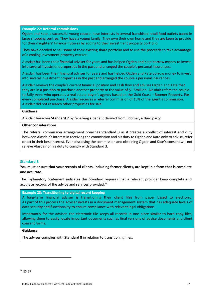<span id="page-31-0"></span>**Example 22: Referral commissions**

Ogden and Kate, a successful young couple, have interests in several franchised retail food outlets based in large shopping centres. They have a young family. They own their own home and they are keen to provide for their daughters' financial futures by adding to their investment property portfolio.

They have decided to sell some of their existing share portfolio and to use the proceeds to take advantage of a cooling investment property market.

Alasdair has been their financial adviser for years and has helped Ogden and Kate borrow money to invest into several investment properties in the past and arranged the couple's personal insurances.

Alasdair has been their financial adviser for years and has helped Ogden and Kate borrow money to invest into several investment properties in the past and arranged the couple's personal insurances.

Alasdair reviews the couple's current financial position and cash flow and advises Ogden and Kate that they are in a position to purchase another property to the value of \$1.5million. Alasdair refers the couple to Sally-Anne who operates a real estate buyer's agency based on the Gold Coast – Boomer Property. For every completed purchase, Alasdair receives a referral commission of 15% of the agent's commission. Alasdair did not research other properties for sale.

#### **Guidance**

Alasdair breaches **Standard 7** by receiving a benefit derived from Boomer, a third party.

#### **Other considerations**

The referral commission arrangement breaches **Standard 3** as it creates a conflict of interest and duty between Alasdair's interest in receiving the commission and his duty to Ogden and Kate only to advise, refer or act in their best interest. Even disclosing the commission and obtaining Ogden and Kate's consent will not relieve Alasdair of his duty to comply with Standard 3.

# <span id="page-31-1"></span>**Standard 8**

# **You must ensure that your records of clients, including former clients, are kept in a form that is complete and accurate.**

The Explanatory Statement indicates this Standard requires that a relevant provider keep complete and accurate records of the advice and services provided.<sup>[34](#page-31-3)</sup>

<span id="page-31-2"></span>**Example 23: Transitioning to digital record keeping**

A long-term financial adviser is transitioning their client files from paper based to electronic. As part of this process the adviser invests in a document management system that has adequate levels of data security and functionality to ensure compliance with relevant legal obligations.

Importantly for the adviser, the electronic file keeps all records in one place similar to hard copy files, allowing them to easily locate important documents such as final versions of advice documents and client consent forms.

## **Guidance**

<span id="page-31-3"></span>The adviser complies with **Standard 8** in relation to transitioning files.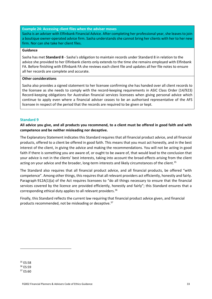#### <span id="page-32-0"></span>**Example 24: Accessing client files when the adviser moves**

Sasha is an adviser with Elfinbank Financial Advice. After completing her professional year, she leaves to join a boutique owner-operated advice firm. Sasha understands she cannot bring her clients with her to her new firm. Nor can she take her client files.

#### **Guidance**

Sasha has met **Standard 8** - Sasha's obligation to maintain records under Standard 8 in relation to the advice she provided to her Elfinbank clients only extends to the time she remains employed with Elfinbank FA. Before finishing with Elfinbank FA she reviews each client file and updates all her file notes to ensure all her records are complete and accurate.

#### **Other considerations**

Sasha also provides a signed statement to her licensee confirming she has handed over all client records to the licensee as she needs to comply with the record-keeping requirements in ASIC Class Order (14/923) Record-keeping obligations for Australian financial services licensees when giving personal advice which continue to apply even where a financial adviser ceases to be an authorised representative of the AFS licensee in respect of the period that the records are required to be given or kept.

# <span id="page-32-1"></span>**Standard 9**

**All advice you give, and all products you recommend, to a client must be offered in good faith and with competence and be neither misleading nor deceptive.**

The Explanatory Statement indicates this Standard requires that all financial product advice, and all financial products, offered to a client be offered in good faith. This means that you must act honestly, and in the best interest of the client, in giving the advice and making the recommendations. You will not be acting in good faith if there is something you are aware of, or ought to be aware of, that would lead to the conclusion that your advice is not in the clients' best interests, taking into account the broad effects arising from the client acting on your advice and the broader, long-term interests and likely circumstances of the client.<sup>[35](#page-32-2)</sup>

The Standard also requires that all financial product advice, and all financial products, be offered "with competence". Among other things, this requires that all relevant providers act efficiently, honestly and fairly. Paragraph 912A(1)(a) of the Act requires licensees to "do all things necessary to ensure that the financial services covered by the licence are provided efficiently, honestly and fairly"; this Standard ensures that a corresponding ethical duty applies to all relevant providers.<sup>[36](#page-32-3)</sup>

Finally, this Standard reflects the current law requiring that financial product advice given, and financial products recommended, not be misleading or deceptive.<sup>[37](#page-32-4)</sup>

<span id="page-32-2"></span><sup>35</sup> ES:58

<span id="page-32-3"></span><sup>36</sup> ES:59

<span id="page-32-4"></span><sup>37</sup> ES:60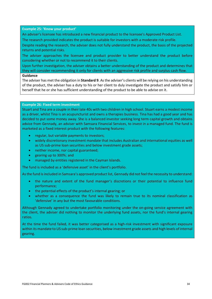#### <span id="page-33-0"></span>**Example 25: 'Know your product'**

An adviser's licensee has introduced a new financial product to the licensee's Approved Product List.

The research provided indicates the product is suitable for investors with a moderate risk profile.

Despite reading the research, the adviser does not fully understand the product, the basis of the projected returns and potential risks.

The adviser approaches the licensee and product provider to better understand the product before considering whether or not to recommend it to their clients.

Upon further investigation, the adviser obtains a better understanding of the product and determines that they will consider recommending it only for clients with an aggressive risk profile and surplus cash flow. **Guidance**

# The adviser has met the obligation in **Standard 9**. As the adviser's clients will be relying on his understanding of the product, the adviser has a duty to his or her client to duly investigate the product and satisfy him or herself that he or she has sufficient understanding of the product to be able to advise on it.

#### <span id="page-33-1"></span>**Example 26: Fixed term investment**

Stuart and Tina are a couple in their late 40s with two children in high school. Stuart earns a modest income as a driver, whilst Tina is an acupuncturist and owns a therapies business. Tina has had a good year and has decided to put some money away. She is a balanced investor seeking long term capital growth and obtains advice from Gennady, an adviser with Samsara Financial Services, to invest in a managed fund. The fund is marketed as a fixed interest product with the following features:

- regular, but variable payments to investors;
- widely discretionary investment mandate that includes Australian and international equities as well as US sub-prime loan securities and below investment grade assets;
- neither income, nor capital guaranteed;
- gearing up to 300%; and
- managed by entities registered in the Cayman Islands.

The fund is included as a 'defensive asset' in the client's portfolio.

As the fund is included in Samsara's approved product list, Gennady did not feel the necessity to understand:

- the nature and extent of the fund manager's discretions or their potential to influence fund performance;
- the potential effects of the product's internal gearing; or
- whether as a consequence the fund was likely to remain true to its nominal classification as 'defensive' in any but the most favourable conditions.

Although Gennady agreed to undertake portfolio monitoring under the on-going service agreement with the client, the adviser did nothing to monitor the underlying fund assets, nor the fund's internal gearing ratios.

At the time the fund failed, it was better categorised as a high-risk investment with significant exposure within its mandate to US sub-prime loan securities, below investment grade assets and high levels of internal gearing.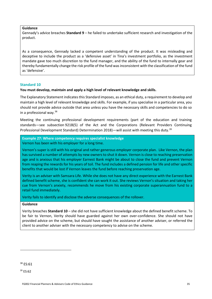# **Guidance**

Gennady's advice breaches **Standard 9** – he failed to undertake sufficient research and investigation of the product.

As a consequence, Gennady lacked a competent understanding of the product. It was misleading and deceptive to include the product as a 'defensive asset' in Tina's investment portfolio, as the investment mandate gave too much discretion to the fund manager, and the ability of the fund to internally gear and thereby fundamentally change the risk profile of the fund was inconsistent with the classification of the fund as 'defensive'.

#### <span id="page-34-0"></span>**Standard 10**

#### **You must develop, maintain and apply a high level of relevant knowledge and skills.**

The Explanatory Statement indicates this Standard imposes, as an ethical duty, a requirement to develop and maintain a high level of relevant knowledge and skills. For example, if you specialise in a particular area, you should not provide advice outside that area unless you have the necessary skills and competencies to do so in a professional way.  $38$ 

Meeting the continuing professional development requirements (part of the education and training standards—see subsection 921B(5) of the Act and the Corporations (Relevant Providers Continuing Professional Development Standard) Determination 2018)—will assist with meeting this duty.<sup>[39](#page-34-3)</sup>

<span id="page-34-1"></span>**Example 27: Where competency requires specialist knowledge** Vernon has been with his employer for a long time.

Vernon's super is still with his original and rather generous employer corporate plan. Like Vernon, the plan has survived a number of attempts by new owners to shut it down. Vernon is close to reaching preservation age and is anxious that his employer Earnest Bank might be about to close the fund and prevent Vernon from reaping the rewards for his years of toil. The fund includes a defined pension for life and other specific benefits that would be lost if Vernon leaves the fund before reaching preservation age.

Verity is an adviser with Samsara Life. While she does not have any direct experience with the Earnest Bank defined benefit scheme, she is confident she can work it out. She reviews Vernon's situation and taking her cue from Vernon's anxiety, recommends he move from his existing corporate superannuation fund to a retail fund immediately.

Verity fails to identify and disclose the adverse consequences of the rollover.

#### **Guidance**

Verity breaches **Standard 10** – she did not have sufficient knowledge about the defined benefit scheme. To be fair to Vernon, Verity should have guarded against her own over-confidence. She should not have provided advice on the scheme, but should have sought the assistance of another adviser, or referred the client to another adviser with the necessary competency to advise on the scheme.

<span id="page-34-3"></span><sup>39</sup> ES:62

<span id="page-34-2"></span><sup>&</sup>lt;sup>38</sup> ES:61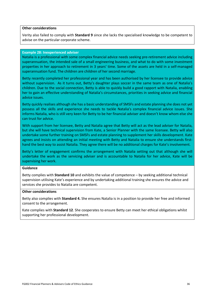# **Other considerations**

Verity also failed to comply with **Standard 9** since she lacks the specialised knowledge to be competent to advise on the particular corporate scheme.

#### <span id="page-35-0"></span>**Example 28: Inexperienced adviser**

Natalia is a professional with some complex financial advice needs seeking pre-retirement advice including superannuation, the intended sale of a small engineering business, and what to do with some investment properties in her approach to retirement in 3 years' time. Some of the assets are held in a self-managed superannuation fund. The children are children of her second marriage.

Betty recently completed her professional year and has been authorised by her licensee to provide advice without supervision. As it turns out, Betty's daughter plays soccer in the same team as one of Natalia's children. Due to the social connection, Betty is able to quickly build a good rapport with Natalia, enabling her to gain an effective understanding of Natalia's circumstances, priorities in seeking advice and financial advice issues.

Betty quickly realises although she has a basic understanding of SMSFs and estate planning she does not yet possess all the skills and experience she needs to tackle Natalia's complex financial advice issues. She informs Natalia, who is still very keen for Betty to be her financial adviser and doesn't know whom else she can trust for advice.

With support from her licensee, Betty and Natalia agree that Betty will act as the lead adviser for Natalia, but she will have technical supervision from Kate, a Senior Planner with the same licensee. Betty will also undertake some further training on SMSFs and estate planning to supplement her skills development. Kate agrees and insists on attending an initial meeting with Betty and Natalia to ensure she understands firsthand the best way to assist Natalia. They agree there will be no additional charges for Kate's involvement.

Betty's letter of engagement confirms the arrangement with Natalia setting out that although she will undertake the work as the servicing adviser and is accountable to Natalia for her advice, Kate will be supervising her work.

#### **Guidance**

Betty complies with **Standard 10** and exhibits the value of competence – by seeking additional technical supervision utilising Kate's experience and by undertaking additional training she ensures the advice and services she provides to Natalia are competent.

#### **Other considerations**

Betty also complies with **Standard 4.** She ensures Natalia is in a position to provide her free and informed consent to the arrangement.

<span id="page-35-1"></span>Kate complies with **Standard 12**. She cooperates to ensure Betty can meet her ethical obligations whilst supporting her professional development.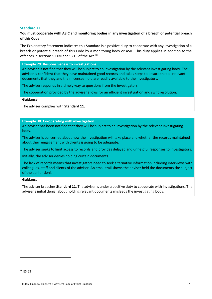# **Standard 11**

# **You must cooperate with ASIC and monitoring bodies in any investigation of a breach or potential breach of this Code.**

The Explanatory Statement indicates this Standard is a positive duty to cooperate with any investigation of a breach or potential breach of this Code by a monitoring body or ASIC. This duty applies in addition to the offences in sections 921M and 921P of the Act.<sup>[40](#page-36-3)</sup>

<span id="page-36-0"></span>**Example 29: Responsiveness to investigations**

An adviser is notified that they will be subject to an investigation by the relevant investigating body. The adviser is confident that they have maintained good records and takes steps to ensure that all relevant documents that they and their licensee hold are readily available to the investigators.

The adviser responds in a timely way to questions from the investigators.

The cooperation provided by the adviser allows for an efficient investigation and swift resolution.

**Guidance**

The adviser complies with **Standard 11.**

<span id="page-36-1"></span>**Example 30: Co-operating with investigation**

An adviser has been notified that they will be subject to an investigation by the relevant investigating body.

The adviser is concerned about how the investigation will take place and whether the records maintained about their engagement with clients is going to be adequate.

The adviser seeks to limit access to records and provides delayed and unhelpful responses to investigators.

Initially, the adviser denies holding certain documents.

The lack of records means that investigators need to seek alternative information including interviews with colleagues, staff and clients of the adviser. An email trail shows the adviser held the documents the subject of the earlier denial.

#### **Guidance**

<span id="page-36-2"></span>The adviser breaches **Standard 11**. The adviser is under a positive duty to cooperate with investigations. The adviser's initial denial about holding relevant documents misleads the investigating body.

<span id="page-36-3"></span><sup>40</sup> ES:63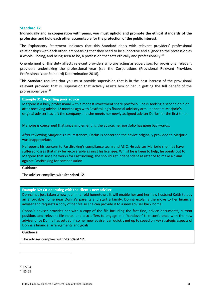## **Standard 12**

**Individually and in cooperation with peers, you must uphold and promote the ethical standards of the profession and hold each other accountable for the protection of the public interest.**

The Explanatory Statement indicates that this Standard deals with relevant providers' professional relationships with each other, emphasising that they need to be supportive and aligned to the profession as a whole—being, and being seen to be, a profession that acts ethically and professionally.<sup>[41](#page-37-2)</sup>

One element of this duty affects relevant providers who are acting as supervisors for provisional relevant providers undertaking the professional year (see the Corporations (Provisional Relevant Providers Professional Year Standard) Determination 2018).

This Standard requires that you must provide supervision that is in the best interest of the provisional relevant provider, that is, supervision that actively assists him or her in getting the full benefit of the professional year.[42](#page-37-3)

#### <span id="page-37-0"></span>**Example 31: Reporting poor advice**

Marjorie is a busy professional with a modest investment share portfolio. She is seeking a second opinion after receiving advice 12 months ago with FastBroking's financial advisory arm. It appears Marjorie's original adviser has left the company and she meets her newly assigned adviser Darius for the first time.

Marjorie is concerned that since implementing the advice, her portfolio has gone backwards.

After reviewing Marjorie's circumstances, Darius is concerned the advice originally provided to Marjorie was inappropriate.

He reports his concern to FastBroking's compliance team and ASIC. He advises Marjorie she may have suffered losses that may be recoverable against his licensee. Whilst he is keen to help, he points out to Marjorie that since he works for FastBroking, she should get independent assistance to make a claim against FastBroking for compensation.

#### **Guidance**

The adviser complies with **Standard 12**.

#### <span id="page-37-1"></span>**Example 32: Co-operating with the client's new adviser**

Donna has just taken a new job in her old hometown. It will enable her and her new husband Keith to buy an affordable home near Donna's parents and start a family. Donna explains the move to her financial adviser and requests a copy of her file so she can provide it to a new adviser back home.

Donna's adviser provides her with a copy of the file including the fact find, advice documents, current position, and relevant file notes and also offers to engage in a 'handover' tele-conference with the new adviser once Donna has settled in so her new adviser can quickly get up to speed on key strategic aspects of Donna's financial arrangements and goals.

#### **Guidance**

The adviser complies with **Standard 12.**

<span id="page-37-3"></span><span id="page-37-2"></span><sup>41</sup> ES:64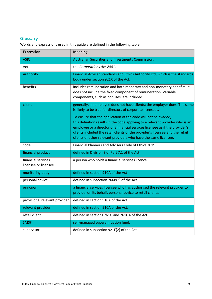# <span id="page-38-0"></span>**Glossary**

Words and expressions used in this guide are defined in the following table

| <b>Expression</b>                          | <b>Meaning</b>                                                                                                                                                                                                                                                                                                                                                                      |
|--------------------------------------------|-------------------------------------------------------------------------------------------------------------------------------------------------------------------------------------------------------------------------------------------------------------------------------------------------------------------------------------------------------------------------------------|
| <b>ASIC</b>                                | Australian Securities and Investments Commission.                                                                                                                                                                                                                                                                                                                                   |
| Act                                        | the Corporations Act 2001.                                                                                                                                                                                                                                                                                                                                                          |
| Authority                                  | Financial Adviser Standards and Ethics Authority Ltd, which is the standards<br>body under section 921X of the Act.                                                                                                                                                                                                                                                                 |
| benefits                                   | includes remuneration and both monetary and non-monetary benefits. It<br>does not include the fixed component of remuneration. Variable<br>components, such as bonuses, are included.                                                                                                                                                                                               |
| client                                     | generally, an employee does not have clients; the employer does. The same<br>is likely to be true for directors of corporate licensees.                                                                                                                                                                                                                                             |
|                                            | To ensure that the application of the code will not be evaded,<br>this definition results in the code applying to a relevant provider who is an<br>employee or a director of a financial services licensee as if the provider's<br>clients included the retail clients of the provider's licensee and the retail<br>clients of other relevant providers who have the same licensee. |
| code                                       | Financial Planners and Advisers Code of Ethics 2019                                                                                                                                                                                                                                                                                                                                 |
| financial product                          | defined in Division 3 of Part 7.1 of the Act.                                                                                                                                                                                                                                                                                                                                       |
| financial services<br>licensee or licensee | a person who holds a financial services licence.                                                                                                                                                                                                                                                                                                                                    |
| monitoring body                            | defined in section 910A of the Act                                                                                                                                                                                                                                                                                                                                                  |
| personal advice                            | defined in subsection 766B(3) of the Act.                                                                                                                                                                                                                                                                                                                                           |
| principal                                  | a financial services licensee who has authorised the relevant provider to<br>provide, on its behalf, personal advice to retail clients.                                                                                                                                                                                                                                             |
| provisional relevant provider              | defined in section 910A of the Act.                                                                                                                                                                                                                                                                                                                                                 |
| relevant provider                          | defined in section 910A of the Act.                                                                                                                                                                                                                                                                                                                                                 |
| retail client                              | defined in sections 761G and 761GA of the Act.                                                                                                                                                                                                                                                                                                                                      |
| <b>SMSF</b>                                | self-managed superannuation fund.                                                                                                                                                                                                                                                                                                                                                   |
| supervisor                                 | defined in subsection 921F(2) of the Act.                                                                                                                                                                                                                                                                                                                                           |